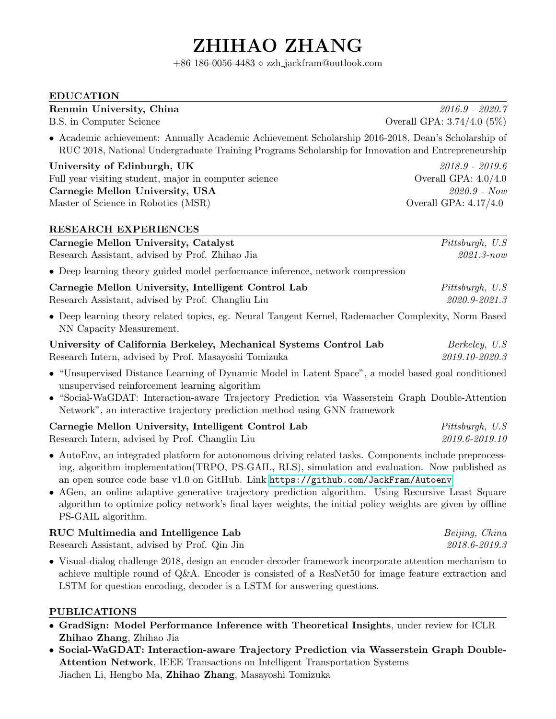# ZHIHAO ZHANG

 $+86$  186-0056-4483  $\diamond$  zzh\_jackfram@outlook.com

#### EDUCATION

#### Renmin University, China 2016.9 - 2020.7

• Academic achievement: Annually Academic Achievement Scholarship 2016-2018, Dean's Scholarship of RUC 2018, National Undergraduate Training Programs Scholarship for Innovation and Entrepreneurship

University of Edinburgh, UK 2018.9 - 2019.6 Full year visiting student, major in computer science Overall GPA:  $4.0/4.0$ Carnegie Mellon University, USA 2020.9 - Now Master of Science in Robotics (MSR) Overall GPA:  $4.17/4.0$ 

#### RESEARCH EXPERIENCES

| Research Assistant, advised by Prof. Zhihao Jia                                                                                 | $2021.3 - now$                   |
|---------------------------------------------------------------------------------------------------------------------------------|----------------------------------|
| • Deep learning theory guided model performance inference, network compression                                                  |                                  |
| Carnegie Mellon University, Intelligent Control Lab<br>Research Assistant, advised by Prof. Changliu Liu                        | Pittsburgh, U.S<br>2020.9-2021.3 |
| • Deep learning theory related topics, eg. Neural Tangent Kernel, Rademacher Complexity, Norm Based<br>NN Capacity Measurement. |                                  |
| University of California Berkeley, Mechanical Systems Control Lab                                                               | Berkeley, U.S.                   |
| Research Intern, advised by Prof. Masayoshi Tomizuka                                                                            | 2019.10-2020.3                   |

Carnegie Mellon University, Catalyst **Pittsburgh, U.S.** Pittsburgh, U.S.

- "Unsupervised Distance Learning of Dynamic Model in Latent Space", a model based goal conditioned unsupervised reinforcement learning algorithm
- "Social-WaGDAT: Interaction-aware Trajectory Prediction via Wasserstein Graph Double-Attention Network", an interactive trajectory prediction method using GNN framework

| Carnegie Mellon University, Intelligent Control Lab | Pittsburgh, U.S. |
|-----------------------------------------------------|------------------|
| Research Intern, advised by Prof. Changliu Liu      | 2019.6-2019.10   |

- AutoEnv, an integrated platform for autonomous driving related tasks. Components include preprocessing, algorithm implementation(TRPO, PS-GAIL, RLS), simulation and evaluation. Now published as an open source code base v1.0 on GitHub. Link <https://github.com/JackFram/Autoenv>
- AGen, an online adaptive generative trajectory prediction algorithm. Using Recursive Least Square algorithm to optimize policy network's final layer weights, the initial policy weights are given by offline PS-GAIL algorithm.

### RUC Multimedia and Intelligence Lab Beijing, China

Research Assistant, advised by Prof. Qin Jin 2018.6-2019.3

• Visual-dialog challenge 2018, design an encoder-decoder framework incorporate attention mechanism to achieve multiple round of Q&A. Encoder is consisted of a ResNet50 for image feature extraction and LSTM for question encoding, decoder is a LSTM for answering questions.

#### PUBLICATIONS

- GradSign: Model Performance Inference with Theoretical Insights, under review for ICLR Zhihao Zhang, Zhihao Jia
- Social-WaGDAT: Interaction-aware Trajectory Prediction via Wasserstein Graph Double-Attention Network, IEEE Transactions on Intelligent Transportation Systems Jiachen Li, Hengbo Ma, Zhihao Zhang, Masayoshi Tomizuka

B.S. in Computer Science Coverall GPA: 3.74/4.0 (5%)